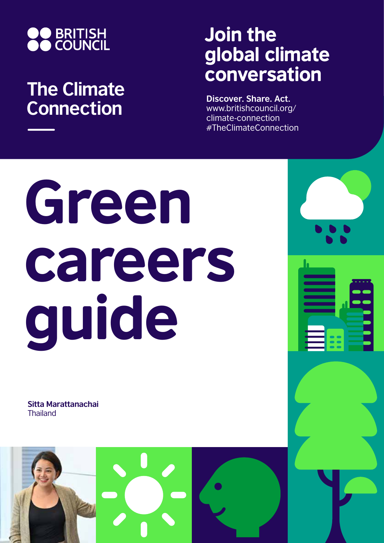

## **The Climate Connection**

## Join the global climate conversation

**Discover. Share. Act.** www.britishcouncil.org/ climate-connection #TheClimateConnection

# Green careers guide

**Sitta Marattanachai Thailand** 

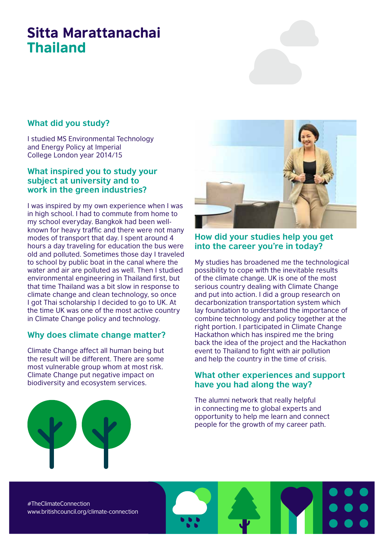### Sitta Marattanachai Thailand

#### **What did you study?**

I studied MS Environmental Technology and Energy Policy at Imperial College London year 2014/15

#### **What inspired you to study your subject at university and to work in the green industries?**

I was inspired by my own experience when I was in high school. I had to commute from home to my school everyday. Bangkok had been wellknown for heavy traffic and there were not many modes of transport that day. I spent around 4 hours a day traveling for education the bus were old and polluted. Sometimes those day I traveled to school by public boat in the canal where the water and air are polluted as well. Then I studied environmental engineering in Thailand first, but that time Thailand was a bit slow in response to climate change and clean technology, so once I got Thai scholarship I decided to go to UK. At the time UK was one of the most active country in Climate Change policy and technology.

#### **Why does climate change matter?**

Climate Change affect all human being but the result will be different. There are some most vulnerable group whom at most risk. Climate Change put negative impact on biodiversity and ecosystem services.



#### **How did your studies help you get into the career you're in today?**

My studies has broadened me the technological possibility to cope with the inevitable results of the climate change. UK is one of the most serious country dealing with Climate Change and put into action. I did a group research on decarbonization transportation system which lay foundation to understand the importance of combine technology and policy together at the right portion. I participated in Climate Change Hackathon which has inspired me the bring back the idea of the project and the Hackathon event to Thailand to fight with air pollution and help the country in the time of crisis.

#### **What other experiences and support have you had along the way?**

The alumni network that really helpful in connecting me to global experts and opportunity to help me learn and connect people for the growth of my career path.

#TheClimateConnection www.britishcouncil.org/climate-connection